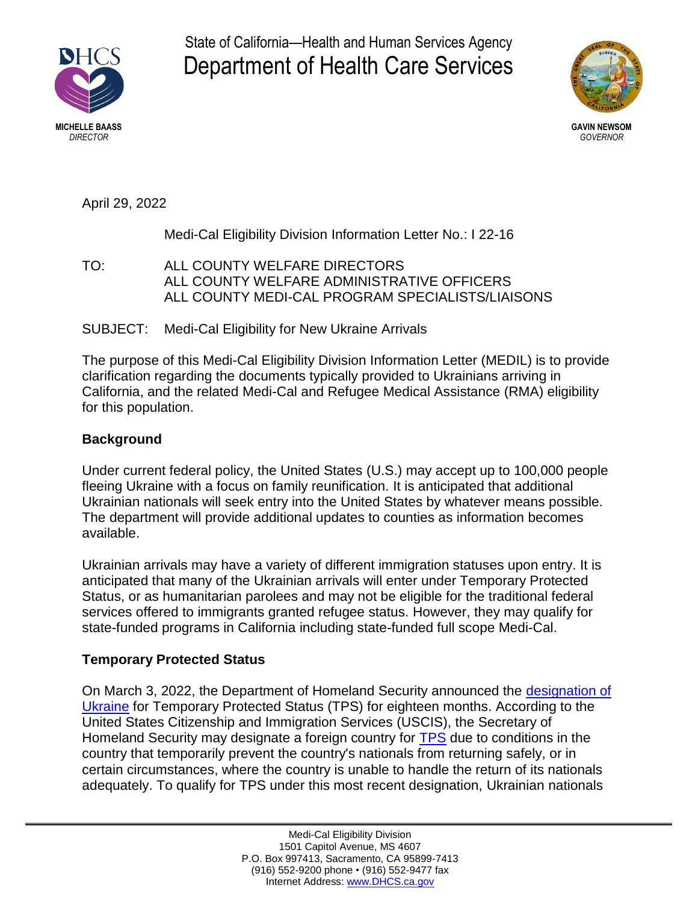

State of California—Health and Human Services Agency Department of Health Care Services



April 29, 2022

# Medi-Cal Eligibility Division Information Letter No.: I 22-16

TO: ALL COUNTY WELFARE DIRECTORS ALL COUNTY WELFARE ADMINISTRATIVE OFFICERS ALL COUNTY MEDI-CAL PROGRAM SPECIALISTS/LIAISONS

SUBJECT: Medi-Cal Eligibility for New Ukraine Arrivals

The purpose of this Medi-Cal Eligibility Division Information Letter (MEDIL) is to provide clarification regarding the documents typically provided to Ukrainians arriving in California, and the related Medi-Cal and Refugee Medical Assistance (RMA) eligibility for this population.

# **Background**

Under current federal policy, the United States (U.S.) may accept up to 100,000 people fleeing Ukraine with a focus on family reunification. It is anticipated that additional Ukrainian nationals will seek entry into the United States by whatever means possible. The department will provide additional updates to counties as information becomes available.

Ukrainian arrivals may have a variety of different immigration statuses upon entry. It is anticipated that many of the Ukrainian arrivals will enter under Temporary Protected Status, or as humanitarian parolees and may not be eligible for the traditional federal services offered to immigrants granted refugee status. However, they may qualify for state-funded programs in California including state-funded full scope Medi-Cal.

## **Temporary Protected Status**

On March 3, 2022, the Department of Homeland Security announced the [designation](https://www.dhs.gov/news/2022/03/03/secretary-mayorkas-designates-ukraine-temporary-protected-status-18-months) of Ukraine for Temporary Protected Status (TPS) for eighteen months. According to the United States Citizenship and Immigration Services (USCIS), the Secretary of Homeland Security may designate a foreign country for [TPS](https://www.uscis.gov/humanitarian/temporary-protected-status) due to conditions in the country that temporarily prevent the country's nationals from returning safely, or in certain circumstances, where the country is unable to handle the return of its nationals adequately. To qualify for TPS under this most recent designation, Ukrainian nationals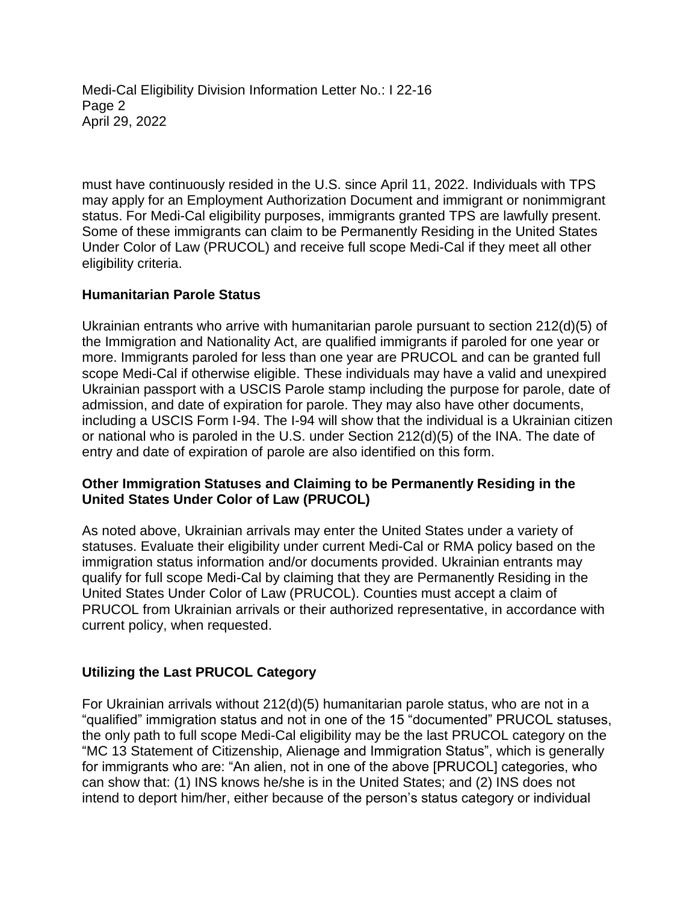Medi-Cal Eligibility Division Information Letter No.: I 22-16 Page 2 April 29, 2022

must have continuously resided in the U.S. since April 11, 2022. Individuals with TPS may apply for an Employment Authorization Document and immigrant or nonimmigrant status. For Medi-Cal eligibility purposes, immigrants granted TPS are lawfully present. Some of these immigrants can claim to be Permanently Residing in the United States Under Color of Law (PRUCOL) and receive full scope Medi-Cal if they meet all other eligibility criteria.

## **Humanitarian Parole Status**

Ukrainian entrants who arrive with humanitarian parole pursuant to section 212(d)(5) of the Immigration and Nationality Act, are qualified immigrants if paroled for one year or more. Immigrants paroled for less than one year are PRUCOL and can be granted full scope Medi-Cal if otherwise eligible. These individuals may have a valid and unexpired Ukrainian passport with a USCIS Parole stamp including the purpose for parole, date of admission, and date of expiration for parole. They may also have other documents, including a USCIS Form I-94. The I-94 will show that the individual is a Ukrainian citizen or national who is paroled in the U.S. under Section 212(d)(5) of the INA. The date of entry and date of expiration of parole are also identified on this form.

### **Other Immigration Statuses and Claiming to be Permanently Residing in the United States Under Color of Law (PRUCOL)**

As noted above, Ukrainian arrivals may enter the United States under a variety of statuses. Evaluate their eligibility under current Medi-Cal or RMA policy based on the immigration status information and/or documents provided. Ukrainian entrants may qualify for full scope Medi-Cal by claiming that they are Permanently Residing in the United States Under Color of Law (PRUCOL). Counties must accept a claim of PRUCOL from Ukrainian arrivals or their authorized representative, in accordance with current policy, when requested.

## **Utilizing the Last PRUCOL Category**

For Ukrainian arrivals without 212(d)(5) humanitarian parole status, who are not in a "qualified" immigration status and not in one of the 15 "documented" PRUCOL statuses, the only path to full scope Medi-Cal eligibility may be the last PRUCOL category on the "MC 13 Statement of Citizenship, Alienage and Immigration Status", which is generally for immigrants who are: "An alien, not in one of the above [PRUCOL] categories, who can show that: (1) INS knows he/she is in the United States; and (2) INS does not intend to deport him/her, either because of the person's status category or individual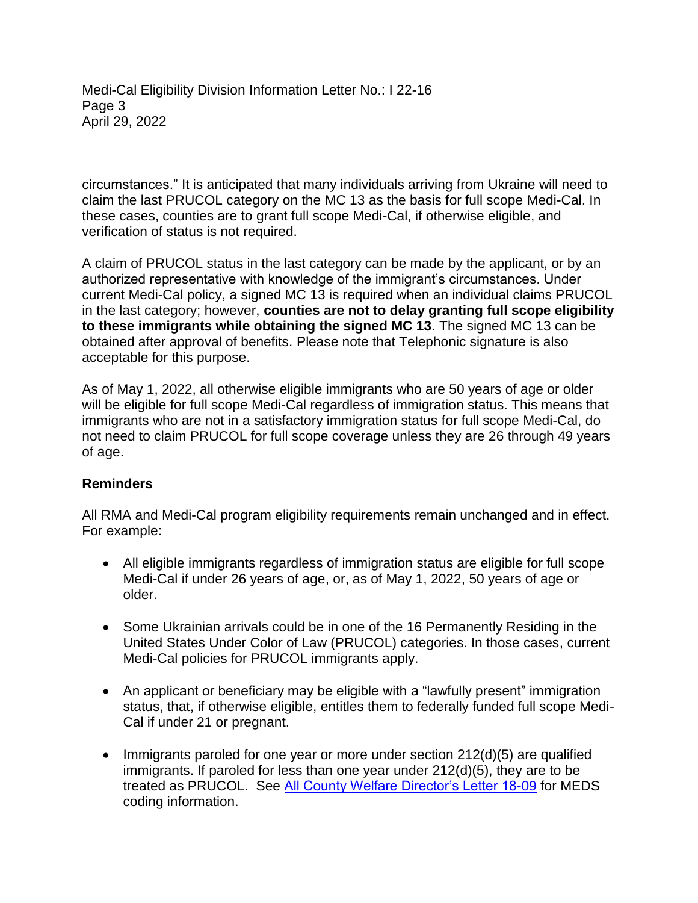Medi-Cal Eligibility Division Information Letter No.: I 22-16 Page 3 April 29, 2022

circumstances." It is anticipated that many individuals arriving from Ukraine will need to claim the last PRUCOL category on the MC 13 as the basis for full scope Medi-Cal. In these cases, counties are to grant full scope Medi-Cal, if otherwise eligible, and verification of status is not required.

A claim of PRUCOL status in the last category can be made by the applicant, or by an authorized representative with knowledge of the immigrant's circumstances. Under current Medi-Cal policy, a signed MC 13 is required when an individual claims PRUCOL in the last category; however, **counties are not to delay granting full scope eligibility to these immigrants while obtaining the signed MC 13**. The signed MC 13 can be obtained after approval of benefits. Please note that Telephonic signature is also acceptable for this purpose.

As of May 1, 2022, all otherwise eligible immigrants who are 50 years of age or older will be eligible for full scope Medi-Cal regardless of immigration status. This means that immigrants who are not in a satisfactory immigration status for full scope Medi-Cal, do not need to claim PRUCOL for full scope coverage unless they are 26 through 49 years of age.

## **Reminders**

All RMA and Medi-Cal program eligibility requirements remain unchanged and in effect. For example:

- All eligible immigrants regardless of immigration status are eligible for full scope Medi-Cal if under 26 years of age, or, as of May 1, 2022, 50 years of age or older.
- Some Ukrainian arrivals could be in one of the 16 Permanently Residing in the United States Under Color of Law (PRUCOL) categories. In those cases, current Medi-Cal policies for PRUCOL immigrants apply.
- An applicant or beneficiary may be eligible with a "lawfully present" immigration status, that, if otherwise eligible, entitles them to federally funded full scope Medi-Cal if under 21 or pregnant.
- Immigrants paroled for one year or more under section  $212(d)(5)$  are qualified immigrants. If paroled for less than one year under 212(d)(5), they are to be treated as PRUCOL. See All County [Welfare Director's Letter 18-09](https://www.dhcs.ca.gov/services/medi-cal/eligibility/letters/Documents/c18-09.pdf) for MEDS coding information.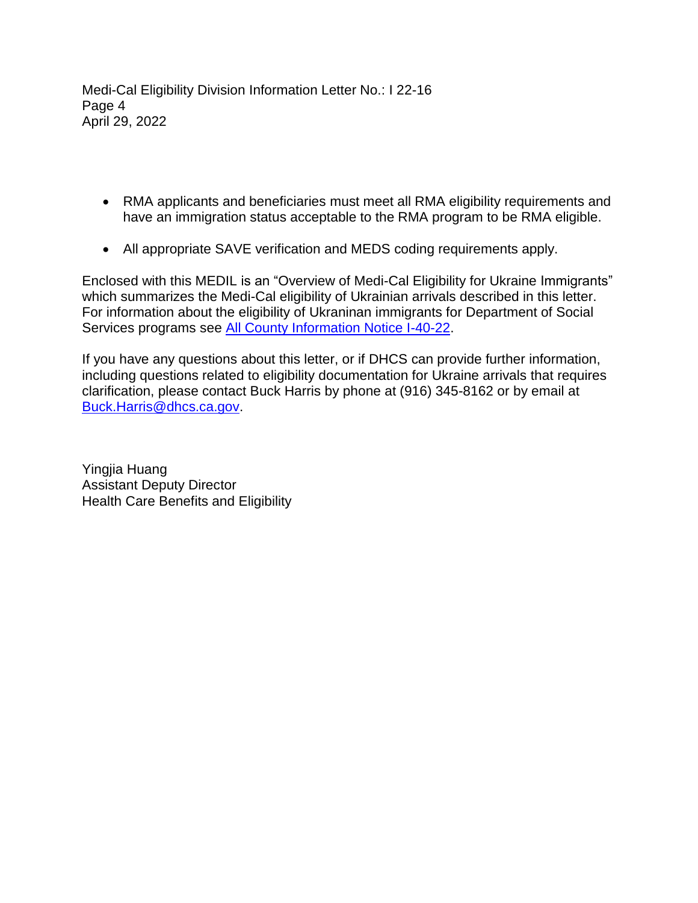Medi-Cal Eligibility Division Information Letter No.: I 22-16 Page 4 April 29, 2022

- RMA applicants and beneficiaries must meet all RMA eligibility requirements and have an immigration status acceptable to the RMA program to be RMA eligible.
- All appropriate SAVE verification and MEDS coding requirements apply.

Enclosed with this MEDIL is an "Overview of Medi-Cal Eligibility for Ukraine Immigrants" which summarizes the Medi-Cal eligibility of Ukrainian arrivals described in this letter. For information about the eligibility of Ukraninan immigrants for Department of Social Services programs see [All County Information Notice I-40-22](https://www.cdss.ca.gov/Portals/9/Additional-Resources/Letters-and-Notices/ACINs/2022/I-40_22.pdf?ver=2022-04-25-084435-763).

If you have any questions about this letter, or if DHCS can provide further information, including questions related to eligibility documentation for Ukraine arrivals that requires clarification, please contact Buck Harris by phone at (916) 345-8162 or by email at [Buck.Harris@dhcs.ca.gov.](mailto:Buck.Harris@dhcs.ca.gov)

Yingjia Huang Assistant Deputy Director Health Care Benefits and Eligibility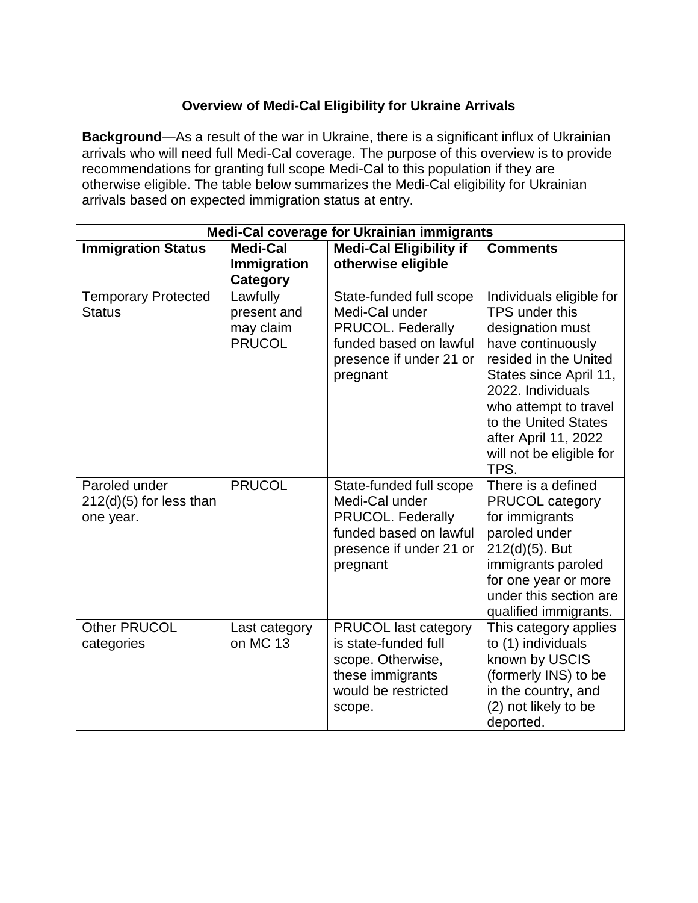# **Overview of Medi-Cal Eligibility for Ukraine Arrivals**

**Background**—As a result of the war in Ukraine, there is a significant influx of Ukrainian arrivals who will need full Medi-Cal coverage. The purpose of this overview is to provide recommendations for granting full scope Medi-Cal to this population if they are otherwise eligible. The table below summarizes the Medi-Cal eligibility for Ukrainian arrivals based on expected immigration status at entry.

| Medi-Cal coverage for Ukrainian immigrants              |                                                       |                                                                                                                                        |                                                                                                                                                                                                                                                                          |
|---------------------------------------------------------|-------------------------------------------------------|----------------------------------------------------------------------------------------------------------------------------------------|--------------------------------------------------------------------------------------------------------------------------------------------------------------------------------------------------------------------------------------------------------------------------|
| <b>Immigration Status</b>                               | <b>Medi-Cal</b>                                       | <b>Medi-Cal Eligibility if</b>                                                                                                         | <b>Comments</b>                                                                                                                                                                                                                                                          |
|                                                         | <b>Immigration</b>                                    | otherwise eligible                                                                                                                     |                                                                                                                                                                                                                                                                          |
|                                                         | <b>Category</b>                                       |                                                                                                                                        |                                                                                                                                                                                                                                                                          |
| <b>Temporary Protected</b><br><b>Status</b>             | Lawfully<br>present and<br>may claim<br><b>PRUCOL</b> | State-funded full scope<br>Medi-Cal under<br>PRUCOL. Federally<br>funded based on lawful<br>presence if under 21 or<br>pregnant        | Individuals eligible for<br>TPS under this<br>designation must<br>have continuously<br>resided in the United<br>States since April 11,<br>2022. Individuals<br>who attempt to travel<br>to the United States<br>after April 11, 2022<br>will not be eligible for<br>TPS. |
| Paroled under<br>$212(d)(5)$ for less than<br>one year. | <b>PRUCOL</b>                                         | State-funded full scope<br>Medi-Cal under<br><b>PRUCOL. Federally</b><br>funded based on lawful<br>presence if under 21 or<br>pregnant | There is a defined<br><b>PRUCOL category</b><br>for immigrants<br>paroled under<br>212(d)(5). But<br>immigrants paroled<br>for one year or more<br>under this section are<br>qualified immigrants.                                                                       |
| <b>Other PRUCOL</b><br>categories                       | Last category<br>on MC 13                             | <b>PRUCOL</b> last category<br>is state-funded full<br>scope. Otherwise,<br>these immigrants<br>would be restricted<br>scope.          | This category applies<br>to (1) individuals<br>known by USCIS<br>(formerly INS) to be<br>in the country, and<br>(2) not likely to be<br>deported.                                                                                                                        |